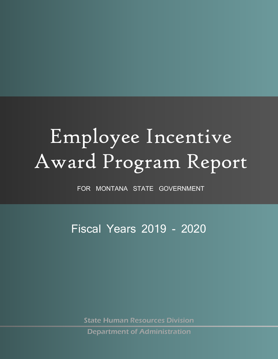# Employee Incentive Award Program Report

FOR MONTANA STATE GOVERNMENT

Fiscal Years 2019 - 2020

State Human Resources Division

Department of Administration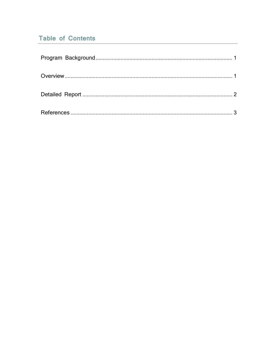# **Table of Contents**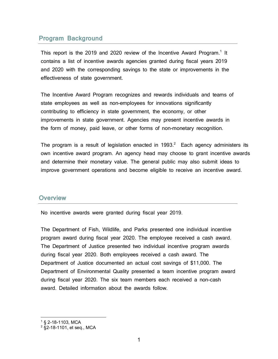### <span id="page-2-0"></span>**Program Background**

This report is the 20[1](#page-2-3)9 and 2020 review of the Incentive Award Program.<sup>1</sup> It contains a list of incentive awards agencies granted during fiscal years 2019 and 2020 with the corresponding savings to the state or improvements in the effectiveness of state government.

The Incentive Award Program recognizes and rewards individuals and teams of state employees as well as non-employees for innovations significantly contributing to efficiency in state government, the economy, or other improvements in state government. Agencies may present incentive awards in the form of money, paid leave, or other forms of non-monetary recognition.

The program is a result of legislation enacted in 1993.<sup>[2](#page-2-4)</sup> Each agency administers its own incentive award program. An agency head may choose to grant incentive awards and determine their monetary value. The general public may also submit ideas to improve government operations and become eligible to receive an incentive award.

#### <span id="page-2-1"></span>**Overview**

No incentive awards were granted during fiscal year 2019.

The Department of Fish, Wildlife, and Parks presented one individual incentive program award during fiscal year 2020. The employee received a cash award. The Department of Justice presented two individual incentive program awards during fiscal year 2020. Both employees received a cash award. The Department of Justice documented an actual cost savings of \$11,000. The Department of Environmental Quality presented a team incentive program award during fiscal year 2020. The six team members each received a non-cash award. Detailed information about the awards follow.

<span id="page-2-3"></span><span id="page-2-2"></span><sup>1</sup> § 2-18-1103, MCA

<span id="page-2-4"></span><sup>2</sup> §2-18-1101, et seq., MCA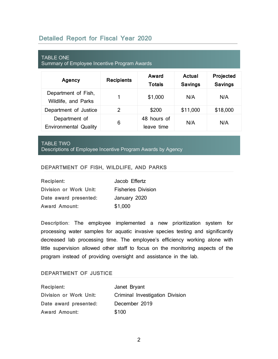## **Detailed Report for Fiscal Year 2020**

| <b>TABLE ONE</b><br>Summary of Employee Incentive Program Awards |                   |                           |                          |                             |
|------------------------------------------------------------------|-------------------|---------------------------|--------------------------|-----------------------------|
| Agency                                                           | <b>Recipients</b> | Award<br><b>Totals</b>    | Actual<br><b>Savings</b> | Projected<br><b>Savings</b> |
| Department of Fish,<br>Wildlife, and Parks                       | 1                 | \$1,000                   | N/A                      | N/A                         |
| Department of Justice                                            | 2                 | \$200                     | \$11,000                 | \$18,000                    |
| Department of<br><b>Environmental Quality</b>                    | 6                 | 48 hours of<br>leave time | N/A                      | N/A                         |

#### TABLE TWO

Descriptions of Employee Incentive Program Awards by Agency

#### **DEPARTMENT OF FISH, WILDLIFE, AND PARKS**

| <b>Recipient:</b>             | Jacob Effertz             |
|-------------------------------|---------------------------|
| <b>Division or Work Unit:</b> | <b>Fisheries Division</b> |
| Date award presented:         | January 2020              |
| <b>Award Amount:</b>          | \$1,000                   |

**Description**: The employee implemented a new prioritization system for processing water samples for aquatic invasive species testing and significantly decreased lab processing time. The employee's efficiency working alone with little supervision allowed other staff to focus on the monitoring aspects of the program instead of providing oversight and assistance in the lab.

#### <span id="page-3-0"></span>**DEPARTMENT OF JUSTICE**

| <b>Recipient:</b>      | Janet Bryant                    |
|------------------------|---------------------------------|
| Division or Work Unit: | Criminal Investigation Division |
| Date award presented:  | December 2019                   |
| <b>Award Amount:</b>   | \$100                           |